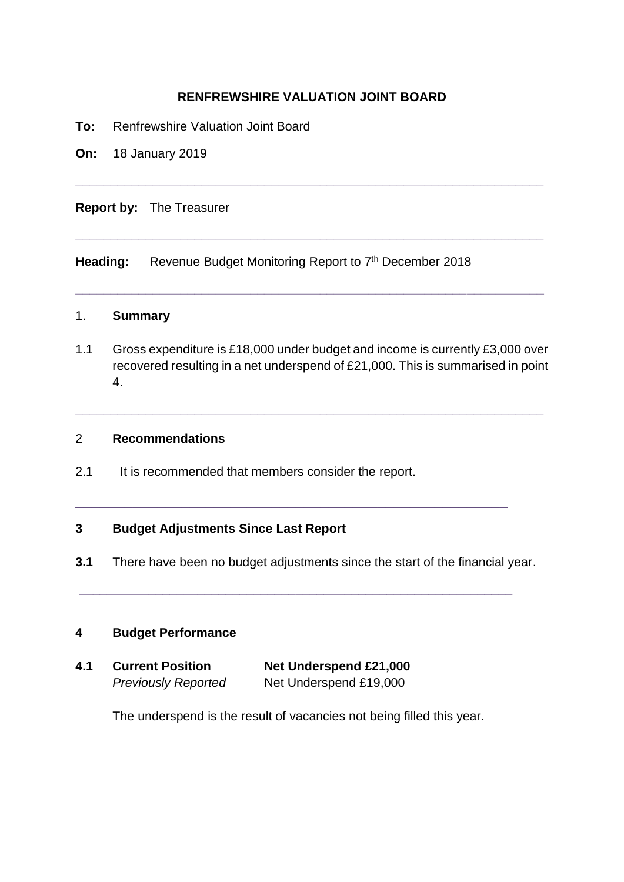# **RENFREWSHIRE VALUATION JOINT BOARD**

**\_\_\_\_\_\_\_\_\_\_\_\_\_\_\_\_\_\_\_\_\_\_\_\_\_\_\_\_\_\_\_\_\_\_\_\_\_\_\_\_\_\_\_\_\_\_\_\_\_\_\_\_\_\_\_\_\_\_\_\_\_\_\_\_\_\_\_**

**\_\_\_\_\_\_\_\_\_\_\_\_\_\_\_\_\_\_\_\_\_\_\_\_\_\_\_\_\_\_\_\_\_\_\_\_\_\_\_\_\_\_\_\_\_\_\_\_\_\_\_\_\_\_\_\_\_\_\_\_\_\_\_\_\_\_\_**

**\_\_\_\_\_\_\_\_\_\_\_\_\_\_\_\_\_\_\_\_\_\_\_\_\_\_\_\_\_\_\_\_\_\_\_\_\_\_\_\_\_\_\_\_\_\_\_\_\_\_\_\_\_\_\_\_\_\_\_\_\_\_\_\_\_\_\_**

- **To:** Renfrewshire Valuation Joint Board
- **On:** 18 January 2019

**Report by:** The Treasurer

Heading: Revenue Budget Monitoring Report to 7<sup>th</sup> December 2018

# 1. **Summary**

1.1 Gross expenditure is £18,000 under budget and income is currently £3,000 over recovered resulting in a net underspend of £21,000. This is summarised in point 4.

**\_\_\_\_\_\_\_\_\_\_\_\_\_\_\_\_\_\_\_\_\_\_\_\_\_\_\_\_\_\_\_\_\_\_\_\_\_\_\_\_\_\_\_\_\_\_\_\_\_\_\_\_\_\_\_\_\_\_\_\_\_\_\_\_\_\_\_**

## 2 **Recommendations**

2.1 It is recommended that members consider the report.

## **3 Budget Adjustments Since Last Report**

**3.1** There have been no budget adjustments since the start of the financial year.

**\_\_\_\_\_\_\_\_\_\_\_\_\_\_\_\_\_\_\_\_\_\_\_\_\_\_\_\_\_\_\_\_\_\_\_\_\_\_\_\_\_\_\_\_\_\_\_\_\_\_\_\_\_\_\_\_\_\_\_\_\_\_**

 $\_$  . The contribution of the contribution of  $\mathcal{L}_1$  ,  $\mathcal{L}_2$  ,  $\mathcal{L}_3$  ,  $\mathcal{L}_4$  ,  $\mathcal{L}_5$  ,  $\mathcal{L}_6$  ,  $\mathcal{L}_7$  ,  $\mathcal{L}_8$  ,  $\mathcal{L}_9$  ,  $\mathcal{L}_1$  ,  $\mathcal{L}_2$  ,  $\mathcal{L}_3$  ,  $\mathcal{L}_5$  ,  $\mathcal{L}_6$  ,  $\mathcal{L}_$ 

### **4 Budget Performance**

| 4.1 | <b>Current Position</b>    | Net Underspend £21,000 |  |  |  |  |
|-----|----------------------------|------------------------|--|--|--|--|
|     | <b>Previously Reported</b> | Net Underspend £19,000 |  |  |  |  |

The underspend is the result of vacancies not being filled this year.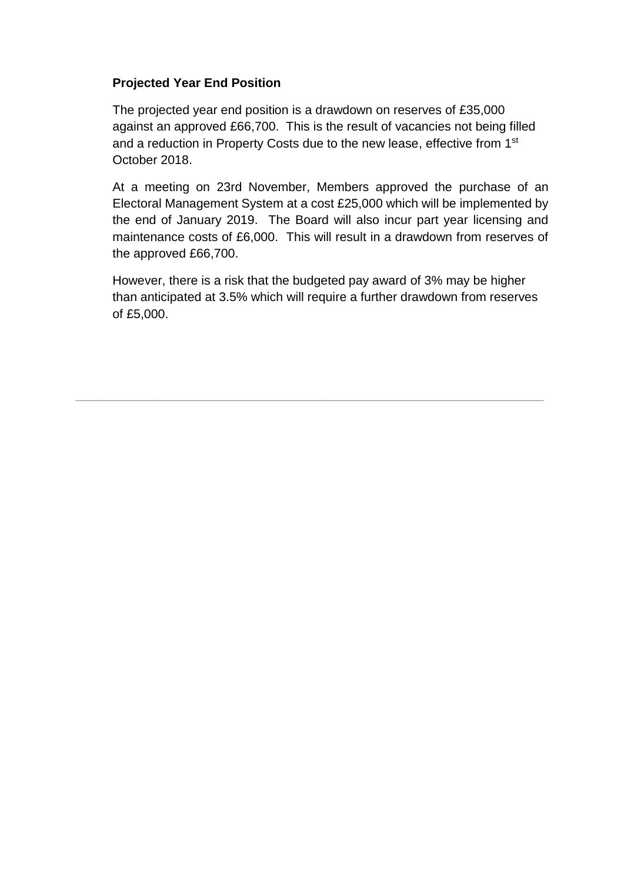# **Projected Year End Position**

The projected year end position is a drawdown on reserves of £35,000 against an approved £66,700. This is the result of vacancies not being filled and a reduction in Property Costs due to the new lease, effective from 1<sup>st</sup> October 2018.

At a meeting on 23rd November, Members approved the purchase of an Electoral Management System at a cost £25,000 which will be implemented by the end of January 2019. The Board will also incur part year licensing and maintenance costs of £6,000. This will result in a drawdown from reserves of the approved £66,700.

However, there is a risk that the budgeted pay award of 3% may be higher than anticipated at 3.5% which will require a further drawdown from reserves of £5,000.

**\_\_\_\_\_\_\_\_\_\_\_\_\_\_\_\_\_\_\_\_\_\_\_\_\_\_\_\_\_\_\_\_\_\_\_\_\_\_\_\_\_\_\_\_\_\_\_\_\_\_\_\_\_\_\_\_\_\_\_\_\_\_\_\_\_\_\_**